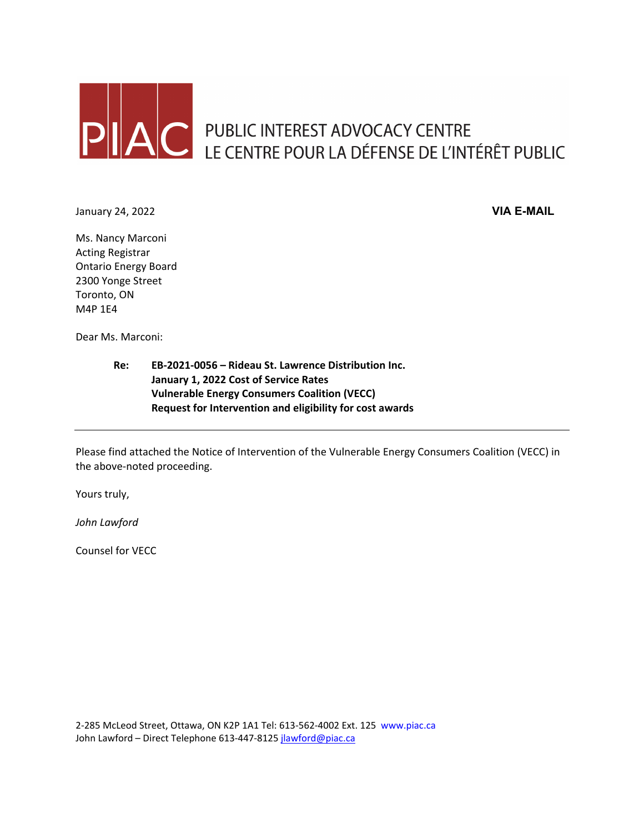

January 24, 2022 **VIA E-MAIL**

Ms. Nancy Marconi Acting Registrar Ontario Energy Board 2300 Yonge Street Toronto, ON M4P 1E4

Dear Ms. Marconi:

**Re: EB-2021-0056 – Rideau St. Lawrence Distribution Inc. January 1, 2022 Cost of Service Rates Vulnerable Energy Consumers Coalition (VECC) Request for Intervention and eligibility for cost awards**

Please find attached the Notice of Intervention of the Vulnerable Energy Consumers Coalition (VECC) in the above-noted proceeding.

Yours truly,

*John Lawford*

Counsel for VECC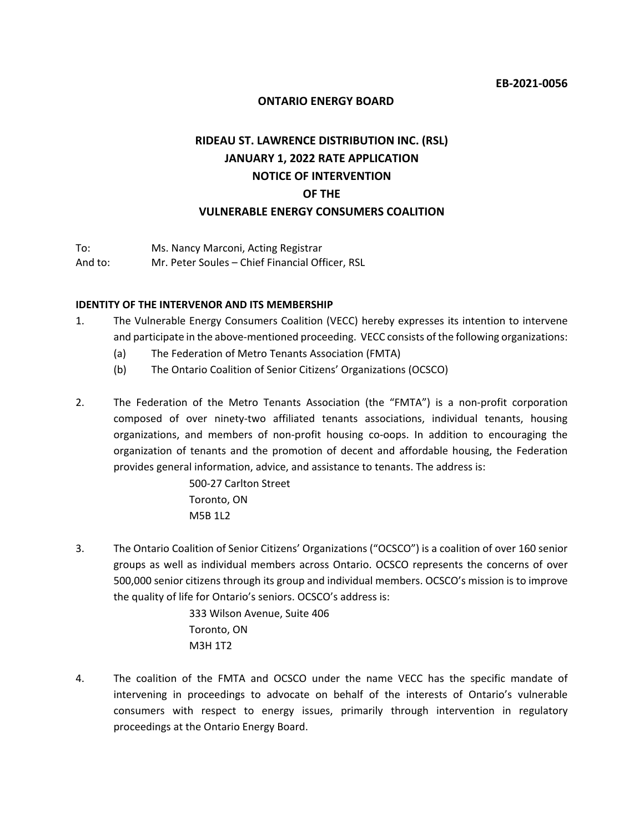## **ONTARIO ENERGY BOARD**

# **RIDEAU ST. LAWRENCE DISTRIBUTION INC. (RSL) JANUARY 1, 2022 RATE APPLICATION NOTICE OF INTERVENTION OF THE VULNERABLE ENERGY CONSUMERS COALITION**

To: Ms. Nancy Marconi, Acting Registrar And to: Mr. Peter Soules – Chief Financial Officer, RSL

#### **IDENTITY OF THE INTERVENOR AND ITS MEMBERSHIP**

- 1. The Vulnerable Energy Consumers Coalition (VECC) hereby expresses its intention to intervene and participate in the above-mentioned proceeding. VECC consists of the following organizations:
	- (a) The Federation of Metro Tenants Association (FMTA)
	- (b) The Ontario Coalition of Senior Citizens' Organizations (OCSCO)
- 2. The Federation of the Metro Tenants Association (the "FMTA") is a non-profit corporation composed of over ninety-two affiliated tenants associations, individual tenants, housing organizations, and members of non-profit housing co-oops. In addition to encouraging the organization of tenants and the promotion of decent and affordable housing, the Federation provides general information, advice, and assistance to tenants. The address is:

500-27 Carlton Street Toronto, ON M5B 1L2

3. The Ontario Coalition of Senior Citizens' Organizations ("OCSCO") is a coalition of over 160 senior groups as well as individual members across Ontario. OCSCO represents the concerns of over 500,000 senior citizens through its group and individual members. OCSCO's mission is to improve the quality of life for Ontario's seniors. OCSCO's address is:

> 333 Wilson Avenue, Suite 406 Toronto, ON M3H 1T2

4. The coalition of the FMTA and OCSCO under the name VECC has the specific mandate of intervening in proceedings to advocate on behalf of the interests of Ontario's vulnerable consumers with respect to energy issues, primarily through intervention in regulatory proceedings at the Ontario Energy Board.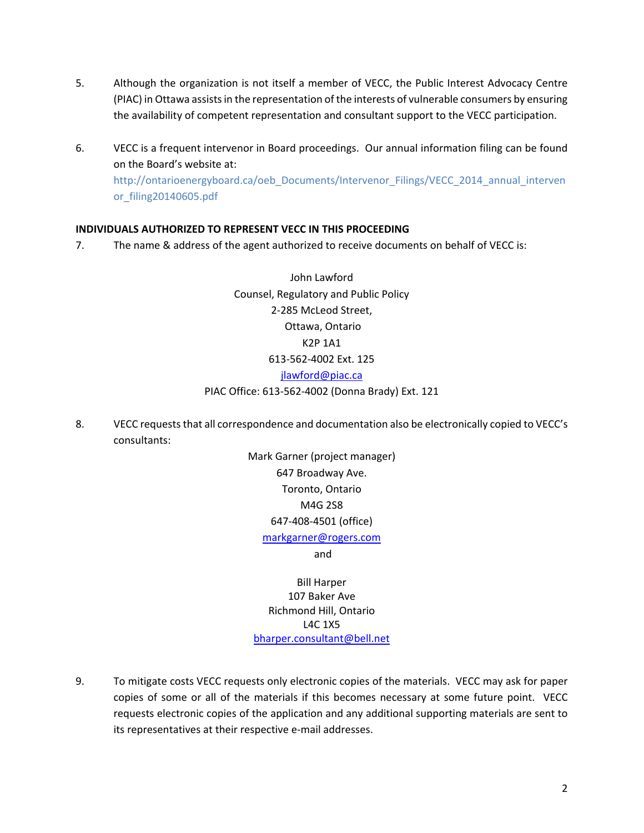- 5. Although the organization is not itself a member of VECC, the Public Interest Advocacy Centre (PIAC) in Ottawa assists in the representation of the interests of vulnerable consumers by ensuring the availability of competent representation and consultant support to the VECC participation.
- 6. VECC is a frequent intervenor in Board proceedings. Our annual information filing can be found on the Board's website at: http://ontarioenergyboard.ca/oeb\_Documents/Intervenor\_Filings/VECC\_2014\_annual\_interven or\_filing20140605.pdf

# **INDIVIDUALS AUTHORIZED TO REPRESENT VECC IN THIS PROCEEDING**

7. The name & address of the agent authorized to receive documents on behalf of VECC is:

John Lawford Counsel, Regulatory and Public Policy 2-285 McLeod Street, Ottawa, Ontario K2P 1A1 613-562-4002 Ext. 125 [jlawford@piac.ca](mailto:jlawford@piac.ca) PIAC Office: 613-562-4002 (Donna Brady) Ext. 121

8. VECC requeststhat all correspondence and documentation also be electronically copied to VECC's consultants:

> Mark Garner (project manager) 647 Broadway Ave. Toronto, Ontario M4G 2S8 647-408-4501 (office) [markgarner@rogers.com](mailto:markgarner@rogers.com) and

Bill Harper 107 Baker Ave Richmond Hill, Ontario L4C 1X5 [bharper.consultant@bell.net](mailto:bharper.consultant@bell.net)

9. To mitigate costs VECC requests only electronic copies of the materials. VECC may ask for paper copies of some or all of the materials if this becomes necessary at some future point. VECC requests electronic copies of the application and any additional supporting materials are sent to its representatives at their respective e-mail addresses.